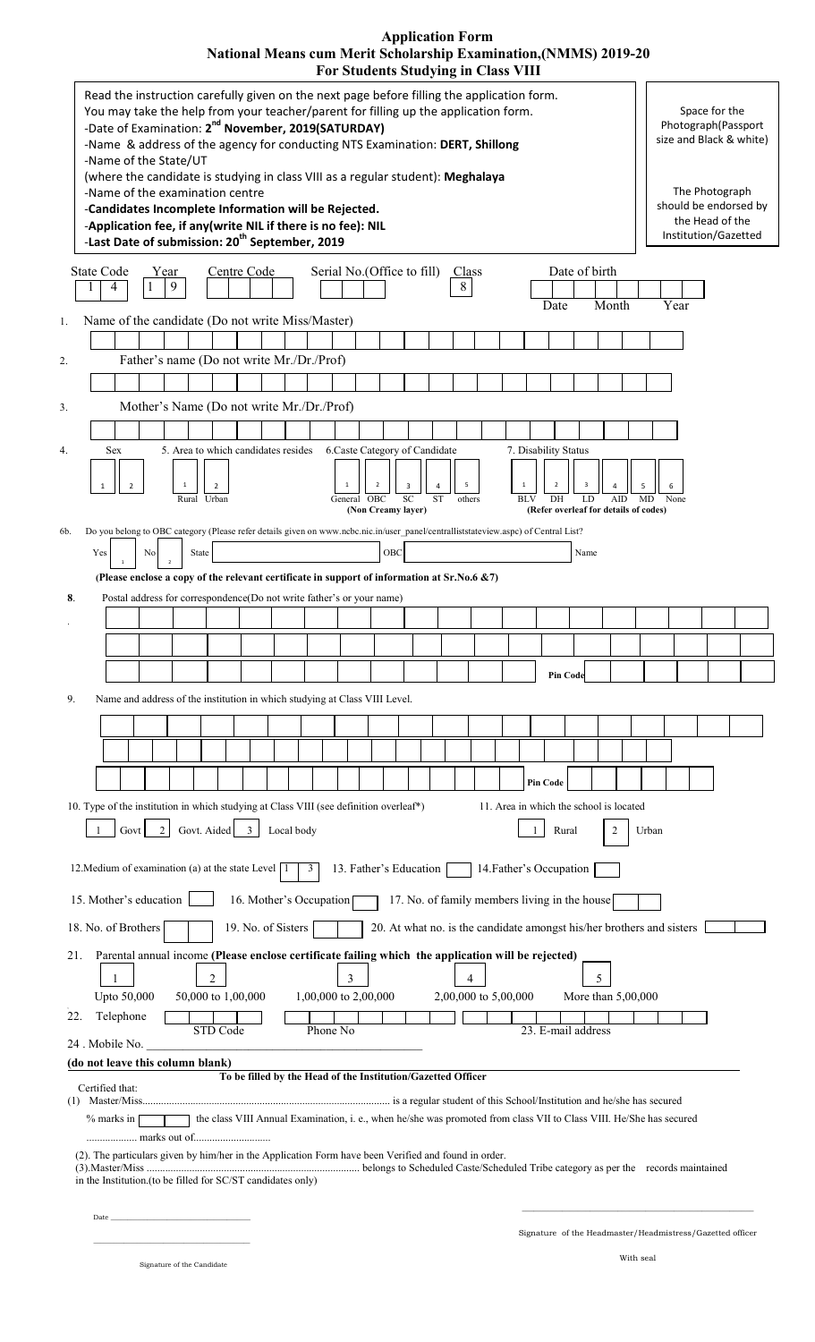| <b>Application Form</b>                                                 |
|-------------------------------------------------------------------------|
| <b>National Means cum Merit Scholarship Examination, (NMMS) 2019-20</b> |
| <b>For Students Studying in Class VIII</b>                              |

| Read the instruction carefully given on the next page before filling the application form.<br>You may take the help from your teacher/parent for filling up the application form.<br>-Date of Examination: 2 <sup>nd</sup> November, 2019(SATURDAY)<br>-Name & address of the agency for conducting NTS Examination: DERT, Shillong<br>-Name of the State/UT | Space for the<br>Photograph(Passport<br>size and Black & white)                    |
|--------------------------------------------------------------------------------------------------------------------------------------------------------------------------------------------------------------------------------------------------------------------------------------------------------------------------------------------------------------|------------------------------------------------------------------------------------|
| (where the candidate is studying in class VIII as a regular student): Meghalaya<br>-Name of the examination centre<br>-Candidates Incomplete Information will be Rejected.<br>-Application fee, if any(write NIL if there is no fee): NIL<br>-Last Date of submission: 20 <sup>th</sup> September, 2019                                                      | The Photograph<br>should be endorsed by<br>the Head of the<br>Institution/Gazetted |
| <b>State Code</b><br>Serial No. (Office to fill)<br>Date of birth<br>Centre Code<br>Year<br>Class                                                                                                                                                                                                                                                            |                                                                                    |
| 9<br>8<br>4                                                                                                                                                                                                                                                                                                                                                  |                                                                                    |
| Month<br>Date<br>Name of the candidate (Do not write Miss/Master)<br>1.                                                                                                                                                                                                                                                                                      | Year                                                                               |
|                                                                                                                                                                                                                                                                                                                                                              |                                                                                    |
| Father's name (Do not write Mr./Dr./Prof)<br>2.                                                                                                                                                                                                                                                                                                              |                                                                                    |
|                                                                                                                                                                                                                                                                                                                                                              |                                                                                    |
| Mother's Name (Do not write Mr./Dr./Prof)<br>3.                                                                                                                                                                                                                                                                                                              |                                                                                    |
|                                                                                                                                                                                                                                                                                                                                                              |                                                                                    |
| 5. Area to which candidates resides 6. Caste Category of Candidate<br>7. Disability Status<br>4.<br><b>Sex</b>                                                                                                                                                                                                                                               |                                                                                    |
| ${\mathsf S}$<br>$\,$ 1 $\,$<br>$\overline{2}$<br>$\overline{\phantom{a}}$<br>$\mathbf{1}$<br>$\pmb{\Delta}$<br>$\mathbf 1$<br>3<br>$\Delta$                                                                                                                                                                                                                 |                                                                                    |
| General OBC<br>DH<br>Rural Urban<br><b>SC</b><br><b>ST</b><br>LD<br>AID<br>others<br><b>BLV</b>                                                                                                                                                                                                                                                              | MD<br>None                                                                         |
| (Refer overleaf for details of codes)<br>(Non Creamy layer)<br>Do you belong to OBC category (Please refer details given on www.ncbc.nic.in/user panel/centralliststateview.aspc) of Central List?<br>6b.                                                                                                                                                    |                                                                                    |
| OBC<br>Yes<br>No<br>State<br>Name                                                                                                                                                                                                                                                                                                                            |                                                                                    |
| (Please enclose a copy of the relevant certificate in support of information at Sr.No.6 &7)                                                                                                                                                                                                                                                                  |                                                                                    |
| 8.<br>Postal address for correspondence(Do not write father's or your name)                                                                                                                                                                                                                                                                                  |                                                                                    |
|                                                                                                                                                                                                                                                                                                                                                              |                                                                                    |
|                                                                                                                                                                                                                                                                                                                                                              |                                                                                    |
|                                                                                                                                                                                                                                                                                                                                                              |                                                                                    |
| Pin Code                                                                                                                                                                                                                                                                                                                                                     |                                                                                    |
| 9.<br>Name and address of the institution in which studying at Class VIII Level.                                                                                                                                                                                                                                                                             |                                                                                    |
|                                                                                                                                                                                                                                                                                                                                                              |                                                                                    |
|                                                                                                                                                                                                                                                                                                                                                              |                                                                                    |
| <b>Pin Code</b>                                                                                                                                                                                                                                                                                                                                              |                                                                                    |
| 10. Type of the institution in which studying at Class VIII (see definition overleaf*)<br>11. Area in which the school is located                                                                                                                                                                                                                            |                                                                                    |
| Govt. Aided 3<br>Govt<br>Local body<br>$\overline{2}$<br>Rural<br>2                                                                                                                                                                                                                                                                                          | Urban                                                                              |
|                                                                                                                                                                                                                                                                                                                                                              |                                                                                    |
| 13. Father's Education<br>14. Father's Occupation<br>12. Medium of examination (a) at the state Level   1<br>3                                                                                                                                                                                                                                               |                                                                                    |
| 15. Mother's education<br>16. Mother's Occupation<br>17. No. of family members living in the house                                                                                                                                                                                                                                                           |                                                                                    |
| 18. No. of Brothers<br>19. No. of Sisters<br>20. At what no. is the candidate amongst his/her brothers and sisters                                                                                                                                                                                                                                           |                                                                                    |
|                                                                                                                                                                                                                                                                                                                                                              |                                                                                    |
| Parental annual income (Please enclose certificate failing which the application will be rejected)<br>21.                                                                                                                                                                                                                                                    |                                                                                    |
| $\overline{c}$<br>5<br>3<br>4<br>Upto 50,000<br>50,000 to 1,00,000<br>1,00,000 to 2,00,000<br>2,00,000 to 5,00,000<br>More than 5,00,000                                                                                                                                                                                                                     |                                                                                    |
| Telephone<br>22.                                                                                                                                                                                                                                                                                                                                             |                                                                                    |
| STD Code<br>Phone No<br>23. E-mail address<br>24. Mobile No.                                                                                                                                                                                                                                                                                                 |                                                                                    |
| (do not leave this column blank)                                                                                                                                                                                                                                                                                                                             |                                                                                    |
| To be filled by the Head of the Institution/Gazetted Officer<br>Certified that:                                                                                                                                                                                                                                                                              |                                                                                    |
| the class VIII Annual Examination, i. e., when he/she was promoted from class VII to Class VIII. He/She has secured<br>$%$ marks in                                                                                                                                                                                                                          |                                                                                    |
| (2). The particulars given by him/her in the Application Form have been Verified and found in order.                                                                                                                                                                                                                                                         |                                                                                    |
| in the Institution.(to be filled for SC/ST candidates only)                                                                                                                                                                                                                                                                                                  |                                                                                    |
| Date _                                                                                                                                                                                                                                                                                                                                                       |                                                                                    |
|                                                                                                                                                                                                                                                                                                                                                              | Signature of the Headmaster/Headmistress/Gazetted officer                          |
|                                                                                                                                                                                                                                                                                                                                                              |                                                                                    |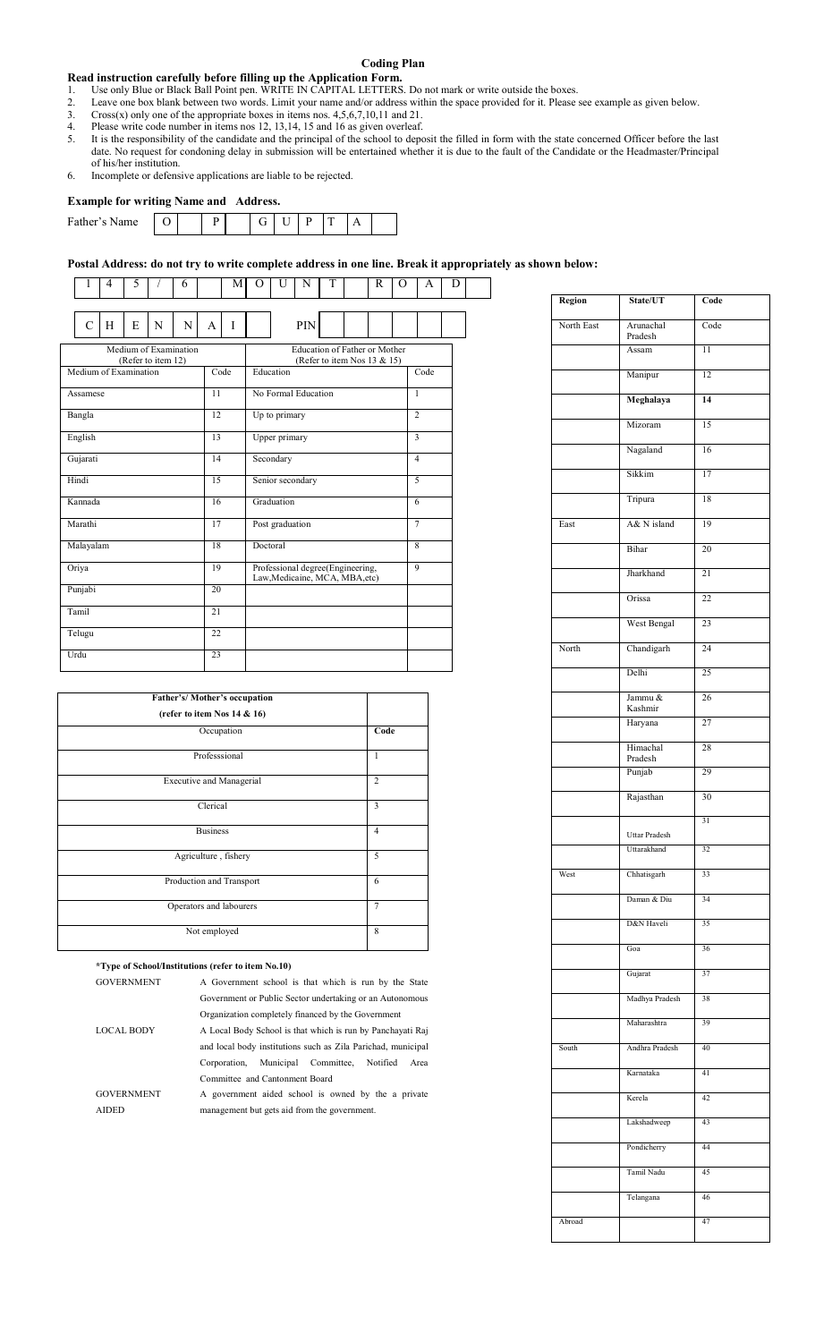#### **Coding Plan**

#### **Read instruction carefully before filling up the Application Form.**

- 1. Use only Blue or Black Ball Point pen. WRITE IN CAPITAL LETTERS. Do not mark or write outside the boxes.
- 2. Leave one box blank between two words. Limit your name and/or address within the space provided for it. Please see example as given below.<br>3. Cross(x) only one of the appropriate boxes in items nos. 4.5.6.7.10.11 and 21
- 3. Cross $(x)$  only one of the appropriate boxes in items nos.  $4,5,6,7,10,11$  and  $21$ .
- 4. Please write code number in items nos 12, 13,14, 15 and 16 as given overleaf.
- 5. It is the responsibility of the candidate and the principal of the school to deposit the filled in form with the state concerned Officer before the last date. No request for condoning delay in submission will be entertained whether it is due to the fault of the Candidate or the Headmaster/Principal of his/her institution.
- 6. Incomplete or defensive applications are liable to be rejected.

#### **Example for writing Name and Address.**

| -               | $\sim$ |   |   |  |  |  |
|-----------------|--------|---|---|--|--|--|
| Father's<br>ıme |        | Ð | ີ |  |  |  |
|                 |        |   |   |  |  |  |

#### **Postal Address: do not try to write complete address in one line. Break it appropriately as shown below:**

| 1                     | 4 | 5 |                                             | 6 |    | М    | O                                                                  | U                     | N                                                            | T |   | R              | $\Omega$       | A              | D |  |  |
|-----------------------|---|---|---------------------------------------------|---|----|------|--------------------------------------------------------------------|-----------------------|--------------------------------------------------------------|---|---|----------------|----------------|----------------|---|--|--|
|                       |   |   |                                             |   |    |      |                                                                    |                       |                                                              |   |   |                |                |                |   |  |  |
| C                     | H | E | N                                           | N | A  | I    |                                                                    |                       | PIN                                                          |   |   |                |                |                |   |  |  |
|                       |   |   | Medium of Examination<br>(Refer to item 12) |   |    |      |                                                                    |                       | Education of Father or Mother<br>(Refer to item Nos 13 & 15) |   |   |                |                |                |   |  |  |
| Medium of Examination |   |   |                                             |   |    | Code |                                                                    | Education             |                                                              |   |   |                |                | Code           |   |  |  |
| Assamese              |   |   |                                             |   | 11 |      |                                                                    | No Formal Education   |                                                              |   |   |                |                | $\mathbf{1}$   |   |  |  |
| Bangla                |   |   |                                             |   | 12 |      |                                                                    | Up to primary         |                                                              |   |   |                |                | $\overline{2}$ |   |  |  |
| English               |   |   |                                             |   | 13 |      | Upper primary                                                      |                       |                                                              |   |   |                |                |                |   |  |  |
| Gujarati              |   |   |                                             |   | 14 |      |                                                                    | Secondary             |                                                              |   |   |                | $\overline{4}$ |                |   |  |  |
| Hindi                 |   |   |                                             |   | 15 |      |                                                                    | 5<br>Senior secondary |                                                              |   |   |                |                |                |   |  |  |
| Kannada               |   |   |                                             |   | 16 |      | Graduation                                                         |                       |                                                              |   | 6 |                |                |                |   |  |  |
| Marathi               |   |   |                                             |   | 17 |      |                                                                    | Post graduation       |                                                              |   |   | $\overline{7}$ |                |                |   |  |  |
| Malayalam             |   |   |                                             |   | 18 |      | Doctoral                                                           |                       |                                                              |   |   | 8              |                |                |   |  |  |
| Oriya                 |   |   |                                             |   |    | 19   | Professional degree(Engineering,<br>Law, Medicaine, MCA, MBA, etc) |                       |                                                              |   |   |                |                | $\overline{9}$ |   |  |  |
| Punjabi               |   |   |                                             |   | 20 |      |                                                                    |                       |                                                              |   |   |                |                |                |   |  |  |
| Tamil                 |   |   |                                             |   | 21 |      |                                                                    |                       |                                                              |   |   |                |                |                |   |  |  |
| Telugu                |   |   |                                             |   | 22 |      |                                                                    |                       |                                                              |   |   |                |                |                |   |  |  |
| Urdu                  |   |   |                                             |   | 23 |      |                                                                    |                       |                                                              |   |   |                |                |                |   |  |  |

| Father's/Mother's occupation    |                |
|---------------------------------|----------------|
| (refer to item Nos 14 & 16)     |                |
| Occupation                      | Code           |
| Professsional                   | 1              |
| <b>Executive and Managerial</b> | $\overline{2}$ |
| Clerical                        | 3              |
| <b>Business</b>                 | $\overline{4}$ |
| Agriculture, fishery            | 5              |
| Production and Transport        | 6              |
| Operators and labourers         | 7              |
| Not employed                    | 8              |

#### **\*Type of School/Institutions (refer to item No.10)**

| <b>GOVERNMENT</b> | A Government school is that which is run by the State        |
|-------------------|--------------------------------------------------------------|
|                   | Government or Public Sector undertaking or an Autonomous     |
|                   | Organization completely financed by the Government           |
| <b>LOCAL BODY</b> | A Local Body School is that which is run by Panchayati Raj   |
|                   | and local body institutions such as Zila Parichad, municipal |
|                   | Municipal Committee,<br>Notified<br>Area<br>Corporation.     |
|                   | Committee and Cantonment Board                               |
| <b>GOVERNMENT</b> | A government aided school is owned by the a private          |
| <b>AIDED</b>      | management but gets aid from the government.                 |
|                   |                                                              |

| Region     | State/UT             | Code            |
|------------|----------------------|-----------------|
| North East | Arunachal<br>Pradesh | Code            |
|            | Assam                | $\overline{11}$ |
|            | Manipur              | 12              |
|            | Meghalaya            | 14              |
|            | Mizoram              | 15              |
|            | Nagaland             | 16              |
|            | Sikkim               | 17              |
|            | Tripura              | 18              |
| East       | A& N island          | 19              |
|            | Bihar                | 20              |
|            | Jharkhand            | 21              |
|            | Orissa               | 22              |
|            | West Bengal          | 23              |
| North      | Chandigarh           | 24              |
|            | Delhi                | $\overline{25}$ |
|            | Jammu &<br>Kashmir   | 26              |
|            | Haryana              | 27              |
|            | Himachal<br>Pradesh  | 28              |
|            | Punjab               | 29              |
|            | Rajasthan            | 30              |
|            | Uttar Pradesh        | $\overline{31}$ |
|            | Uttarakhand          | $\overline{32}$ |
| West       | Chhatisgarh          | 33              |
|            | Daman & Diu          | 34              |
|            | D&N Haveli           | 35              |
|            | Goa                  | 36              |
|            | Gujarat              | $\overline{37}$ |
|            | Madhya Pradesh       | 38              |
|            | Maharashtra          | 39              |
| South      | Andhra Pradesh       | 40              |
|            | Karnataka            | 41              |
|            | Kerela               | 42              |
|            | Lakshadweep          | 43              |
|            | Pondicherry          | 44              |
|            | Tamil Nadu           | 45              |
|            | Telangana            | 46              |
| Abroad     |                      | 47              |
|            |                      |                 |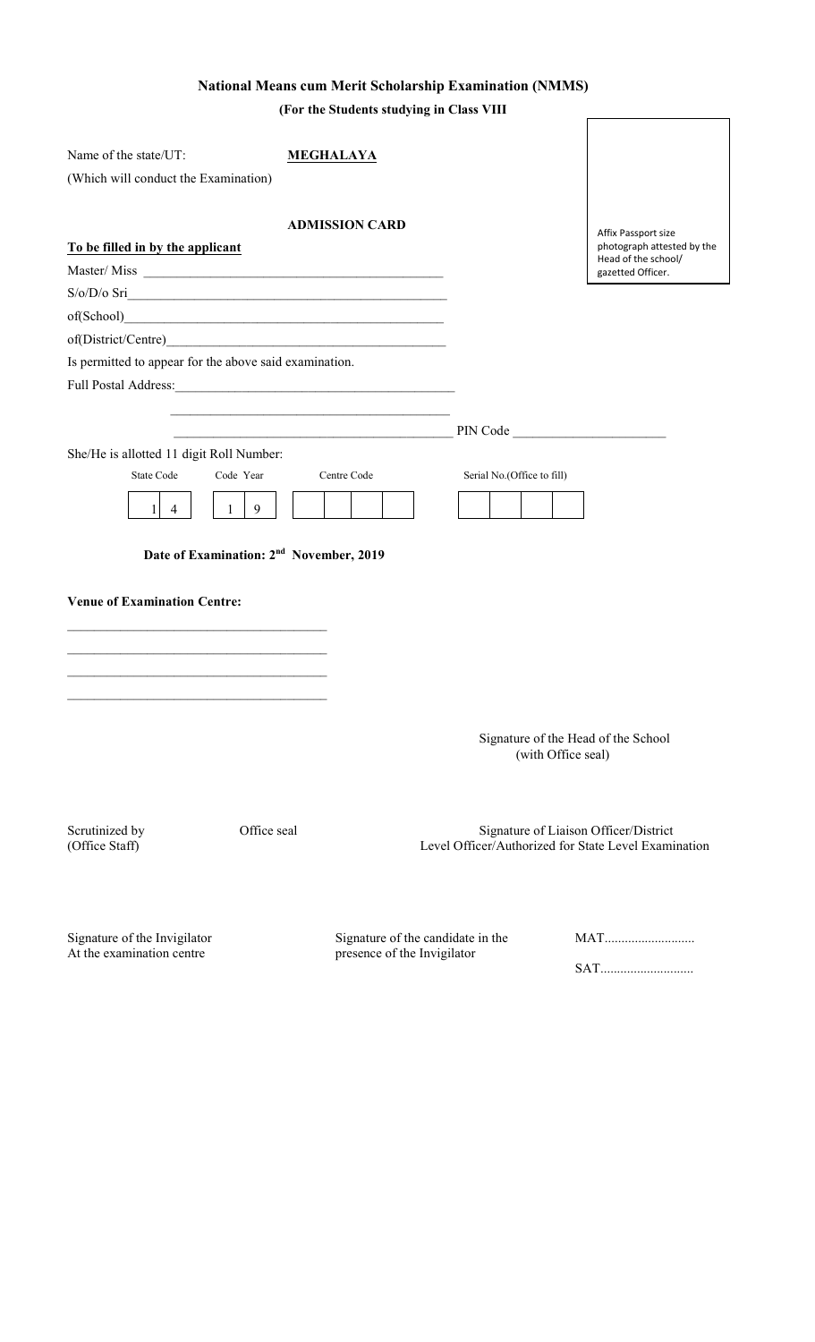# **National Means cum Merit Scholarship Examination (NMMS)**

**(For the Students studying in Class VIII**

| Name of the state/UT:                                                                      | <b>MEGHALAYA</b>                                                         |                                                                                               |                                                   |
|--------------------------------------------------------------------------------------------|--------------------------------------------------------------------------|-----------------------------------------------------------------------------------------------|---------------------------------------------------|
| (Which will conduct the Examination)                                                       |                                                                          |                                                                                               |                                                   |
|                                                                                            |                                                                          |                                                                                               |                                                   |
|                                                                                            | <b>ADMISSION CARD</b>                                                    |                                                                                               | Affix Passport size                               |
| To be filled in by the applicant                                                           |                                                                          |                                                                                               | photograph attested by the<br>Head of the school/ |
|                                                                                            |                                                                          |                                                                                               | gazetted Officer.                                 |
| $S/O/D/O$ Sri                                                                              |                                                                          |                                                                                               |                                                   |
|                                                                                            |                                                                          |                                                                                               |                                                   |
|                                                                                            |                                                                          |                                                                                               |                                                   |
| Is permitted to appear for the above said examination.                                     |                                                                          |                                                                                               |                                                   |
|                                                                                            |                                                                          |                                                                                               |                                                   |
|                                                                                            |                                                                          |                                                                                               |                                                   |
|                                                                                            | <u> 1989 - Johann John Stein, mars an deus Amerikaansk kommunister (</u> | PIN Code                                                                                      |                                                   |
| She/He is allotted 11 digit Roll Number:<br>Code Year<br><b>State Code</b>                 | Centre Code                                                              |                                                                                               |                                                   |
|                                                                                            |                                                                          | Serial No.(Office to fill)                                                                    |                                                   |
| 9<br>11<br>$\overline{4}$<br>$\mathbf{1}$                                                  |                                                                          |                                                                                               |                                                   |
| Date of Examination: 2 <sup>nd</sup> November, 2019<br><b>Venue of Examination Centre:</b> |                                                                          |                                                                                               |                                                   |
|                                                                                            |                                                                          |                                                                                               |                                                   |
|                                                                                            |                                                                          |                                                                                               |                                                   |
|                                                                                            |                                                                          |                                                                                               |                                                   |
|                                                                                            |                                                                          |                                                                                               |                                                   |
|                                                                                            |                                                                          | Signature of the Head of the School<br>(with Office seal)                                     |                                                   |
| Office seal<br>Scrutinized by<br>(Office Staff)                                            |                                                                          | Signature of Liaison Officer/District<br>Level Officer/Authorized for State Level Examination |                                                   |
| Signature of the Invigilator<br>At the examination centre                                  | presence of the Invigilator                                              | Signature of the candidate in the                                                             | MAT                                               |

presence of the Invigilato

SAT............................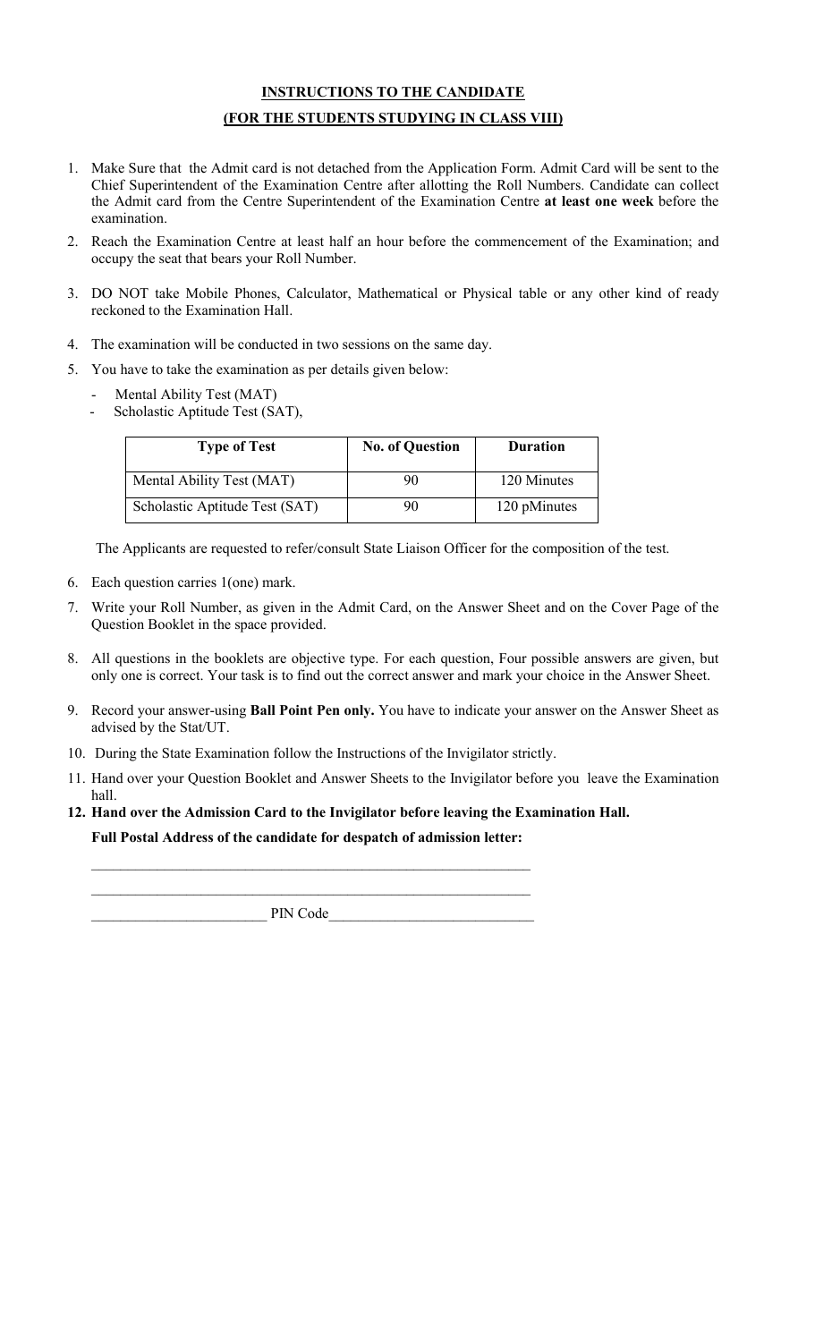## **INSTRUCTIONS TO THE CANDIDATE**

## **(FOR THE STUDENTS STUDYING IN CLASS VIII)**

- 1. Make Sure that the Admit card is not detached from the Application Form. Admit Card will be sent to the Chief Superintendent of the Examination Centre after allotting the Roll Numbers. Candidate can collect the Admit card from the Centre Superintendent of the Examination Centre **at least one week** before the examination.
- 2. Reach the Examination Centre at least half an hour before the commencement of the Examination; and occupy the seat that bears your Roll Number.
- 3. DO NOT take Mobile Phones, Calculator, Mathematical or Physical table or any other kind of ready reckoned to the Examination Hall.
- 4. The examination will be conducted in two sessions on the same day.
- 5. You have to take the examination as per details given below:
	- Mental Ability Test (MAT)
	- Scholastic Aptitude Test (SAT),

| <b>Type of Test</b>            | <b>No. of Question</b> | <b>Duration</b> |
|--------------------------------|------------------------|-----------------|
| Mental Ability Test (MAT)      | 90                     | 120 Minutes     |
| Scholastic Aptitude Test (SAT) | 90                     | 120 pMinutes    |

The Applicants are requested to refer/consult State Liaison Officer for the composition of the test.

- 6. Each question carries 1(one) mark.
- 7. Write your Roll Number, as given in the Admit Card, on the Answer Sheet and on the Cover Page of the Question Booklet in the space provided.
- 8. All questions in the booklets are objective type. For each question, Four possible answers are given, but only one is correct. Your task is to find out the correct answer and mark your choice in the Answer Sheet.
- 9. Record your answer-using **Ball Point Pen only.** You have to indicate your answer on the Answer Sheet as advised by the Stat/UT.
- 10. During the State Examination follow the Instructions of the Invigilator strictly.
- 11. Hand over your Question Booklet and Answer Sheets to the Invigilator before you leave the Examination hall.
- **12. Hand over the Admission Card to the Invigilator before leaving the Examination Hall. Full Postal Address of the candidate for despatch of admission letter:**

PIN Code

 $\mathcal{L}_\text{max}$  , and the contract of the contract of the contract of the contract of the contract of the contract of \_\_\_\_\_\_\_\_\_\_\_\_\_\_\_\_\_\_\_\_\_\_\_\_\_\_\_\_\_\_\_\_\_\_\_\_\_\_\_\_\_\_\_\_\_\_\_\_\_\_\_\_\_\_\_\_\_\_\_\_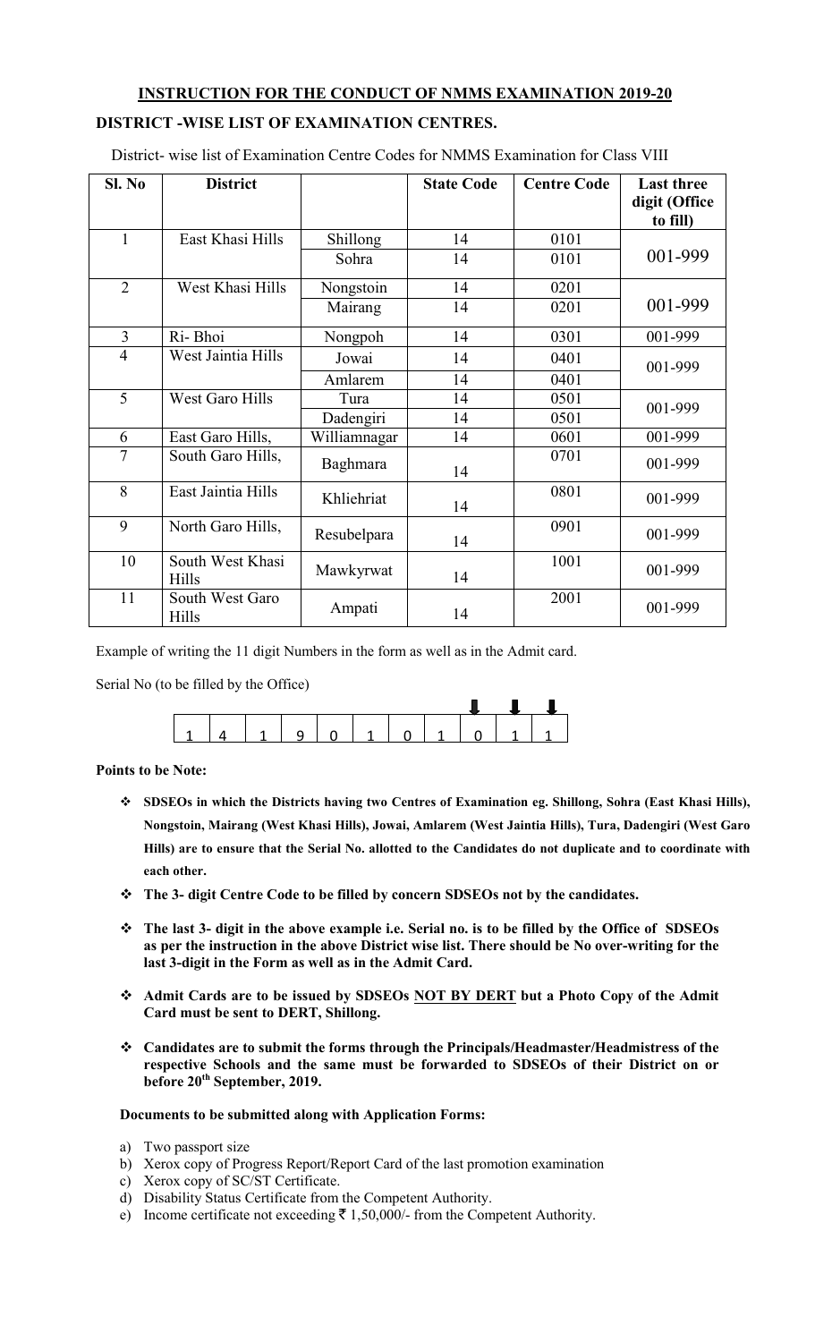# **INSTRUCTION FOR THE CONDUCT OF NMMS EXAMINATION 2019-20**

# **DISTRICT -WISE LIST OF EXAMINATION CENTRES.**

District- wise list of Examination Centre Codes for NMMS Examination for Class VIII

| SI. No         | <b>District</b>           |              | <b>State Code</b> | <b>Centre Code</b> | <b>Last three</b><br>digit (Office<br>to fill) |
|----------------|---------------------------|--------------|-------------------|--------------------|------------------------------------------------|
| 1              | East Khasi Hills          | Shillong     | 14                | 0101               |                                                |
|                |                           | Sohra        | 14                | 0101               | 001-999                                        |
| $\overline{2}$ | West Khasi Hills          | Nongstoin    | 14                | 0201               |                                                |
|                |                           | Mairang      | 14                | 0201               | 001-999                                        |
| 3              | Ri-Bhoi                   | Nongpoh      | 14                | 0301               | 001-999                                        |
| $\overline{4}$ | West Jaintia Hills        | Jowai        | 14                | 0401               | 001-999                                        |
|                |                           | Amlarem      | 14                | 0401               |                                                |
| 5              | <b>West Garo Hills</b>    | Tura         | 14                | 0501               | 001-999                                        |
|                |                           | Dadengiri    | 14                | 0501               |                                                |
| 6              | East Garo Hills,          | Williamnagar | 14                | 0601               | 001-999                                        |
| $\overline{7}$ | South Garo Hills,         | Baghmara     | 14                | 0701               | 001-999                                        |
| 8              | East Jaintia Hills        | Khliehriat   | 14                | 0801               | 001-999                                        |
| 9              | North Garo Hills,         | Resubelpara  | 14                | 0901               | 001-999                                        |
| 10             | South West Khasi<br>Hills | Mawkyrwat    | 14                | 1001               | 001-999                                        |
| 11             | South West Garo<br>Hills  | Ampati       | 14                | 2001               | 001-999                                        |

Example of writing the 11 digit Numbers in the form as well as in the Admit card.

Serial No (to be filled by the Office)

## **Points to be Note:**

- **SDSEOs in which the Districts having two Centres of Examination eg. Shillong, Sohra (East Khasi Hills), Nongstoin, Mairang (West Khasi Hills), Jowai, Amlarem (West Jaintia Hills), Tura, Dadengiri (West Garo Hills) are to ensure that the Serial No. allotted to the Candidates do not duplicate and to coordinate with each other.**
- **The 3- digit Centre Code to be filled by concern SDSEOs not by the candidates.**
- **The last 3- digit in the above example i.e. Serial no. is to be filled by the Office of SDSEOs as per the instruction in the above District wise list. There should be No over-writing for the last 3-digit in the Form as well as in the Admit Card.**
- **Admit Cards are to be issued by SDSEOs NOT BY DERT but a Photo Copy of the Admit Card must be sent to DERT, Shillong.**
- **Candidates are to submit the forms through the Principals/Headmaster/Headmistress of the respective Schools and the same must be forwarded to SDSEOs of their District on or before 20th September, 2019.**

## **Documents to be submitted along with Application Forms:**

- a) Two passport size
- b) Xerox copy of Progress Report/Report Card of the last promotion examination
- c) Xerox copy of SC/ST Certificate.
- d) Disability Status Certificate from the Competent Authority.
- e) Income certificate not exceeding  $\bar{\tau}$  1,50,000/- from the Competent Authority.